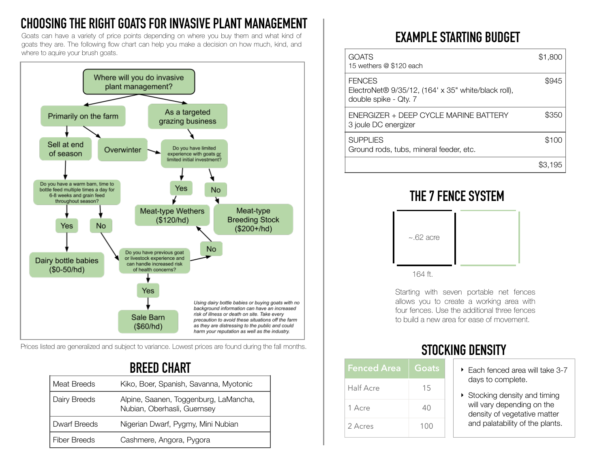# **CHOOSING THE RIGHT GOATS FOR INVASIVE PLANT MANAGEMENT**

Goats can have a variety of price points depending on where you buy them and what kind of goats they are. The following flow chart can help you make a decision on how much, kind, and where to aquire your brush goats.



Prices listed are generalized and subject to variance. Lowest prices are found during the fall months.

## **BREED CHART**

| Meat Breeds         | Kiko, Boer, Spanish, Savanna, Myotonic                               |
|---------------------|----------------------------------------------------------------------|
| Dairy Breeds        | Alpine, Saanen, Toggenburg, LaMancha,<br>Nubian, Oberhasli, Guernsey |
| <b>Dwarf Breeds</b> | Nigerian Dwarf, Pygmy, Mini Nubian                                   |
| <b>Fiber Breeds</b> | Cashmere, Angora, Pygora                                             |

# **EXAMPLE STARTING BUDGET**

| <b>GOATS</b><br>15 wethers @ \$120 each                                                       | \$1,800 |
|-----------------------------------------------------------------------------------------------|---------|
| <b>FENCES</b><br>ElectroNet® 9/35/12, (164' x 35" white/black roll),<br>double spike - Qty. 7 | \$945   |
| FNERGIZER + DEFP CYCLE MARINE BATTERY<br>3 joule DC energizer                                 | \$350   |
| <b>SUPPLIES</b><br>Ground rods, tubs, mineral feeder, etc.                                    | \$100   |
|                                                                                               |         |

### **THE 7 FENCE SYSTEM**



Starting with seven portable net fences allows you to create a working area with four fences. Use the additional three fences to build a new area for ease of movement.

| <b>Fenced Area</b> | Goats |
|--------------------|-------|
| <b>Half Acre</b>   | 15    |
| 1 Acre             | 40    |
| 2 Acres            | 100   |

# **STOCKING DENSITY**

- ▶ Each fenced area will take 3-7 days to complete.
- ‣ Stocking density and timing will vary depending on the density of vegetative matter and palatability of the plants.